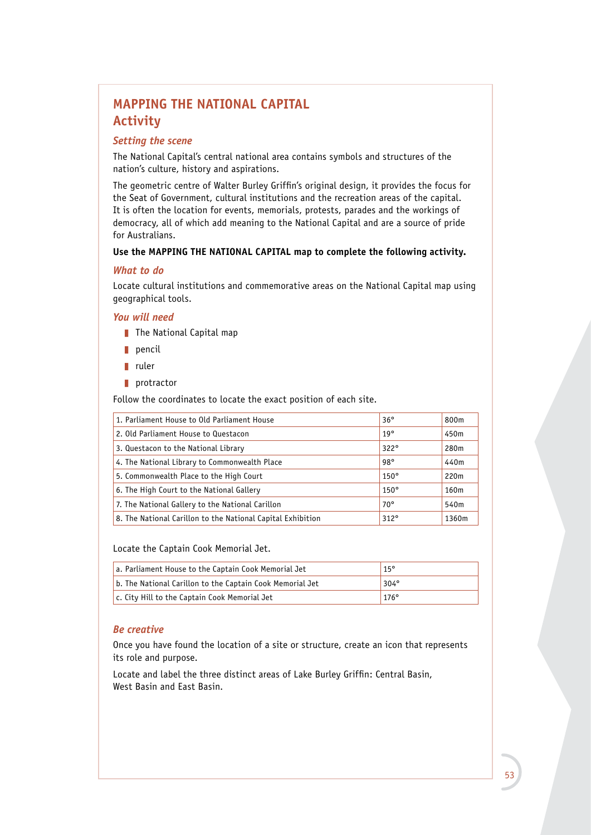# **MAPPING THE NATIONAL CAPITAL Activity**

### *Setting the scene*

The National Capital's central national area contains symbols and structures of the nation's culture, history and aspirations.

The geometric centre of Walter Burley Griffin's original design, it provides the focus for the Seat of Government, cultural institutions and the recreation areas of the capital. It is often the location for events, memorials, protests, parades and the workings of democracy, all of which add meaning to the National Capital and are a source of pride for Australians.

### **Use the MAPPING THE NATIONAL CAPITAL map to complete the following activity.**

### *What to do*

Locate cultural institutions and commemorative areas on the National Capital map using geographical tools.

### *You will need*

- $\blacksquare$  The National Capital map
- $\blacksquare$  pencil
- $\blacksquare$  ruler
- $\blacksquare$  protractor

Follow the coordinates to locate the exact position of each site.

| 1. Parliament House to Old Parliament House                 | $36^\circ$   | 800m  |
|-------------------------------------------------------------|--------------|-------|
| 2. Old Parliament House to Questacon                        | 19°          | 450m  |
| 3. Questacon to the National Library                        | $322^\circ$  | 280m  |
| 4. The National Library to Commonwealth Place               | $98^\circ$   | 440m  |
| 5. Commonwealth Place to the High Court                     | $150^\circ$  | 220m  |
| 6. The High Court to the National Gallery                   | $150^\circ$  | 160m  |
| 7. The National Gallery to the National Carillon            | $70^{\circ}$ | 540m  |
| 8. The National Carillon to the National Capital Exhibition | $312^\circ$  | 1360m |

Locate the Captain Cook Memorial Jet.

| a. Parliament House to the Captain Cook Memorial Jet      | $15^{\circ}$ |
|-----------------------------------------------------------|--------------|
| b. The National Carillon to the Captain Cook Memorial Jet | $304^\circ$  |
| c. City Hill to the Captain Cook Memorial Jet             | $176^\circ$  |

### *Be creative*

Once you have found the location of a site or structure, create an icon that represents its role and purpose.

Locate and label the three distinct areas of Lake Burley Griffin: Central Basin, West Basin and East Basin.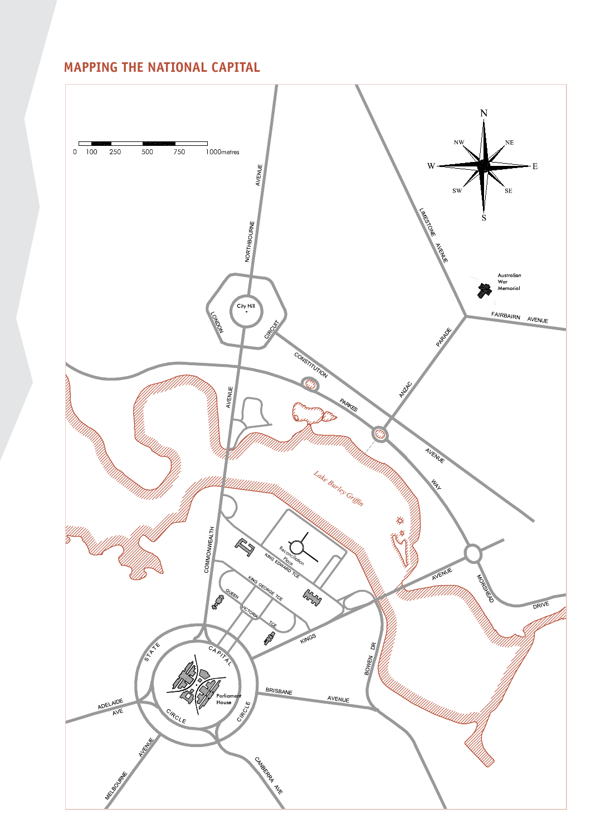# **MAPPING THE NATIONAL CAPITAL**

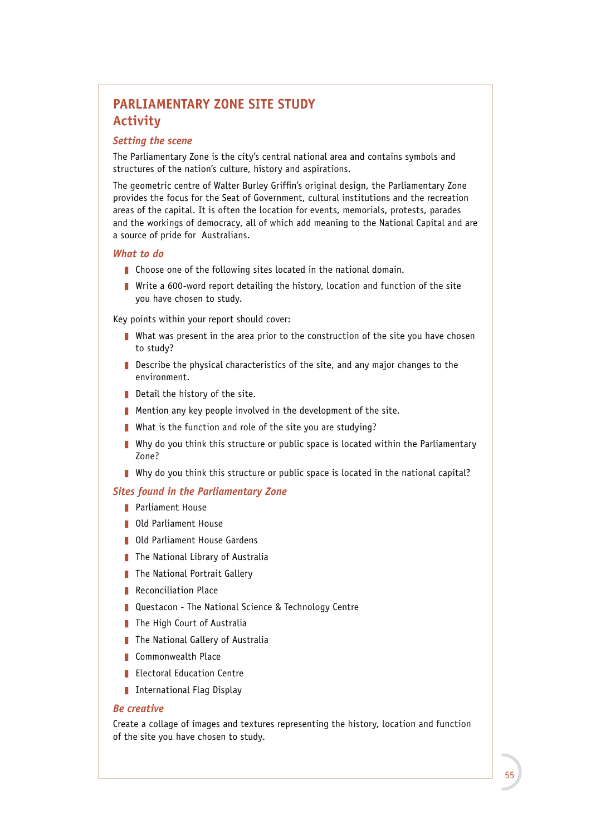# **PARLIAMENTARY ZONE SITE STUDY Activity**

### *Setting the scene*

The Parliamentary Zone is the city's central national area and contains symbols and structures of the nation's culture, history and aspirations.

The geometric centre of Walter Burley Griffin's original design, the Parliamentary Zone provides the focus for the Seat of Government, cultural institutions and the recreation areas of the capital. It is often the location for events, memorials, protests, parades and the workings of democracy, all of which add meaning to the National Capital and are a source of pride for Australians.

### *What to do*

- $\blacksquare$  Choose one of the following sites located in the national domain.
- **V** Write a 600-word report detailing the history, location and function of the site you have chosen to study.

Key points within your report should cover:

- $\blacksquare$  What was present in the area prior to the construction of the site you have chosen to study?
- $\blacksquare$  Describe the physical characteristics of the site, and any major changes to the environment.
- $\blacksquare$  Detail the history of the site.
- $\blacksquare$  Mention any key people involved in the development of the site.
- $\blacksquare$  What is the function and role of the site you are studying?
- $\blacksquare$  Why do you think this structure or public space is located within the Parliamentary Zone?
- $\blacksquare$  Why do you think this structure or public space is located in the national capital?

### *Sites found in the Parliamentary Zone*

- **Parliament House**
- **D** Old Parliament House
- **Dana Diament House Gardens**
- $\blacksquare$  The National Library of Australia
- **The National Portrait Gallery**
- **Reconciliation Place**
- Questacon The National Science & Technology Centre
- The High Court of Australia
- **The National Gallery of Australia**
- **Commonwealth Place**
- **Electoral Education Centre**
- **I** International Flag Display

### *Be creative*

Create a collage of images and textures representing the history, location and function of the site you have chosen to study.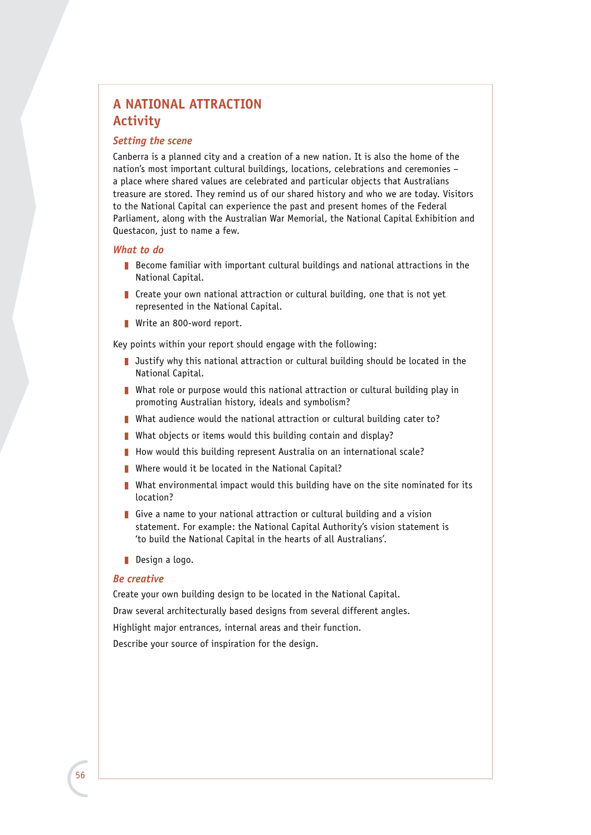## **A NATIONAL ATTRACTION Activity**

### *Setting the scene*

Canberra is a planned city and a creation of a new nation. It is also the home of the nation's most important cultural buildings, locations, celebrations and ceremonies – a place where shared values are celebrated and particular objects that Australians treasure are stored. They remind us of our shared history and who we are today. Visitors to the National Capital can experience the past and present homes of the Federal Parliament, along with the Australian War Memorial, the National Capital Exhibition and Questacon, just to name a few.

### *What to do*

- $\blacksquare$  Become familiar with important cultural buildings and national attractions in the National Capital.
- $\blacksquare$  Create your own national attraction or cultural building, one that is not yet represented in the National Capital.
- Write an 800-word report.

Key points within your report should engage with the following:

- $\blacksquare$  Justify why this national attraction or cultural building should be located in the National Capital.
- $\blacksquare$  What role or purpose would this national attraction or cultural building play in promoting Australian history, ideals and symbolism?
- What audience would the national attraction or cultural building cater to?
- $\blacksquare$  What objects or items would this building contain and display?
- $\blacksquare$  How would this building represent Australia on an international scale?
- $\blacksquare$  Where would it be located in the National Capital?
- $\blacksquare$  What environmental impact would this building have on the site nominated for its location?
- Give a name to your national attraction or cultural building and a vision statement. For example: the National Capital Authority's vision statement is 'to build the National Capital in the hearts of all Australians'.
- **Design a logo.**

### *Be creative*

Create your own building design to be located in the National Capital.

Draw several architecturally based designs from several different angles.

Highlight major entrances, internal areas and their function.

Describe your source of inspiration for the design.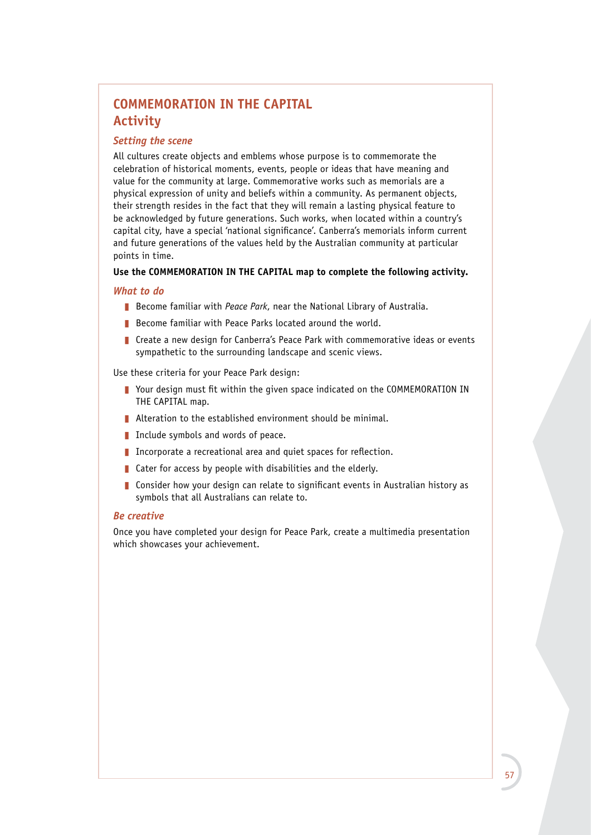# **COMMEMORATION IN THE CAPITAL Activity**

### *Setting the scene*

All cultures create objects and emblems whose purpose is to commemorate the celebration of historical moments, events, people or ideas that have meaning and value for the community at large. Commemorative works such as memorials are a physical expression of unity and beliefs within a community. As permanent objects, their strength resides in the fact that they will remain a lasting physical feature to be acknowledged by future generations. Such works, when located within a country's capital city, have a special 'national significance'. Canberra's memorials inform current and future generations of the values held by the Australian community at particular points in time.

### **Use the COMMEMORATION IN THE CAPITAL map to complete the following activity.**

### *What to do*

- Become familiar with *Peace Park*, near the National Library of Australia.
- Become familiar with Peace Parks located around the world.
- **E** Create a new design for Canberra's Peace Park with commemorative ideas or events sympathetic to the surrounding landscape and scenic views.

Use these criteria for your Peace Park design:

- **E** Your design must fit within the given space indicated on the COMMEMORATION IN THE CAPITAL map.
- Alteration to the established environment should be minimal.
- $\blacksquare$  Include symbols and words of peace.
- I Incorporate a recreational area and quiet spaces for reflection.
- $\blacksquare$  Cater for access by people with disabilities and the elderly.
- **Consider how your design can relate to significant events in Australian history as** symbols that all Australians can relate to.

### *Be creative*

Once you have completed your design for Peace Park, create a multimedia presentation which showcases your achievement.